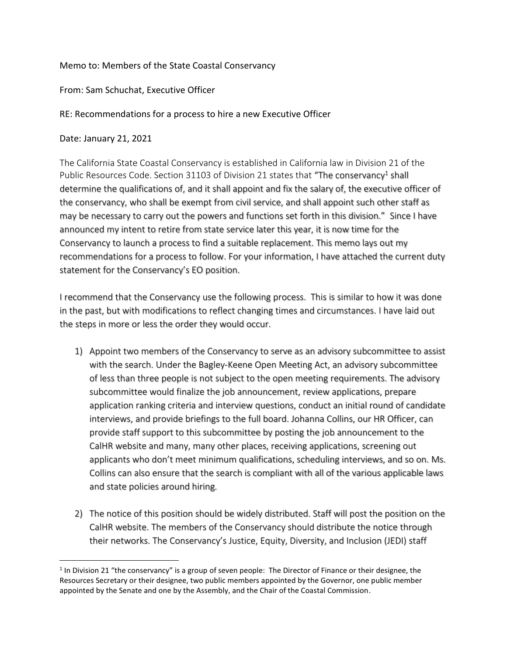#### Memo to: Members of the State Coastal Conservancy

#### From: Sam Schuchat, Executive Officer

RE: Recommendations for a process to hire a new Executive Officer

Date: January 21, 2021

The California State Coastal Conservancy is established in California law in Division 21 of the Public Resources Code. Section 31103 of Division 21 states that "The conservancy<sup>1</sup> shall determine the qualifications of, and it shall appoint and fix the salary of, the executive officer of the conservancy, who shall be exempt from civil service, and shall appoint such other staff as may be necessary to carry out the powers and functions set forth in this division." Since I have announced my intent to retire from state service later this year, it is now time for the Conservancy to launch a process to find a suitable replacement. This memo lays out my recommendations for a process to follow. For your information, I have attached the current duty statement for the Conservancy's EO position.

I recommend that the Conservancy use the following process. This is similar to how it was done in the past, but with modifications to reflect changing times and circumstances. I have laid out the steps in more or less the order they would occur.

- 1) Appoint two members of the Conservancy to serve as an advisory subcommittee to assist with the search. Under the Bagley-Keene Open Meeting Act, an advisory subcommittee of less than three people is not subject to the open meeting requirements. The advisory subcommittee would finalize the job announcement, review applications, prepare application ranking criteria and interview questions, conduct an initial round of candidate interviews, and provide briefings to the full board. Johanna Collins, our HR Officer, can provide staff support to this subcommittee by posting the job announcement to the CalHR website and many, many other places, receiving applications, screening out applicants who don't meet minimum qualifications, scheduling interviews, and so on. Ms. Collins can also ensure that the search is compliant with all of the various applicable laws and state policies around hiring.
- 2) The notice of this position should be widely distributed. Staff will post the position on the CalHR website. The members of the Conservancy should distribute the notice through their networks. The Conservancy's Justice, Equity, Diversity, and Inclusion (JEDI) staff

<sup>&</sup>lt;sup>1</sup> In Division 21 "the conservancy" is a group of seven people: The Director of Finance or their designee, the Resources Secretary or their designee, two public members appointed by the Governor, one public member appointed by the Senate and one by the Assembly, and the Chair of the Coastal Commission.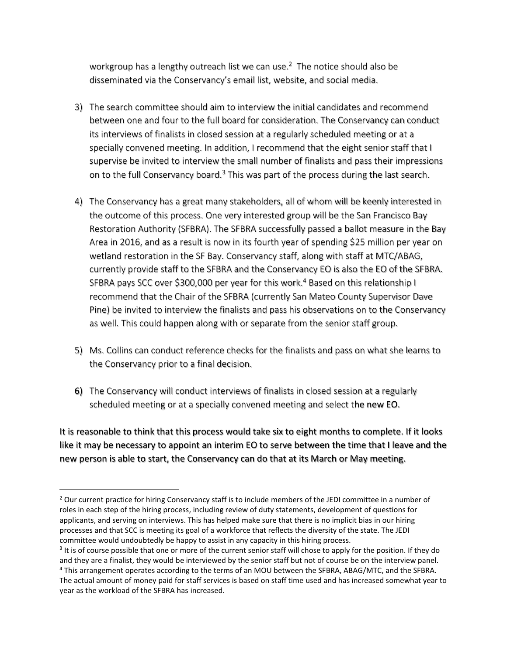workgroup has a lengthy outreach list we can use. <sup>2</sup> The notice should also be disseminated via the Conservancy's email list, website, and social media.

- 3) The search committee should aim to interview the initial candidates and recommend between one and four to the full board for consideration. The Conservancy can conduct its interviews of finalists in closed session at a regularly scheduled meeting or at a specially convened meeting. In addition, I recommend that the eight senior staff that I supervise be invited to interview the small number of finalists and pass their impressions on to the full Conservancy board.<sup>3</sup> This was part of the process during the last search.
- 4) The Conservancy has a great many stakeholders, all of whom will be keenly interested in the outcome of this process. One very interested group will be the San Francisco Bay Restoration Authority (SFBRA). The SFBRA successfully passed a ballot measure in the Bay Area in 2016, and as a result is now in its fourth year of spending \$25 million per year on wetland restoration in the SF Bay. Conservancy staff, along with staff at MTC/ABAG, currently provide staff to the SFBRA and the Conservancy EO is also the EO of the SFBRA. SFBRA pays SCC over \$300,000 per year for this work.<sup>4</sup> Based on this relationship I recommend that the Chair of the SFBRA (currently San Mateo County Supervisor Dave Pine) be invited to interview the finalists and pass his observations on to the Conservancy as well. This could happen along with or separate from the senior staff group.
- 5) Ms. Collins can conduct reference checks for the finalists and pass on what she learns to the Conservancy prior to a final decision.
- 6) The Conservancy will conduct interviews of finalists in closed session at a regularly scheduled meeting or at a specially convened meeting and select the new EO.

It is reasonable to think that this process would take six to eight months to complete. If it looks like it may be necessary to appoint an interim EO to serve between the time that I leave and the new person is able to start, the Conservancy can do that at its March or May meeting.

<sup>&</sup>lt;sup>2</sup> Our current practice for hiring Conservancy staff is to include members of the JEDI committee in a number of roles in each step of the hiring process, including review of duty statements, development of questions for applicants, and serving on interviews. This has helped make sure that there is no implicit bias in our hiring processes and that SCC is meeting its goal of a workforce that reflects the diversity of the state. The JEDI committee would undoubtedly be happy to assist in any capacity in this hiring process.

<sup>&</sup>lt;sup>3</sup> It is of course possible that one or more of the current senior staff will chose to apply for the position. If they do and they are a finalist, they would be interviewed by the senior staff but not of course be on the interview panel. <sup>4</sup> This arrangement operates according to the terms of an MOU between the SFBRA, ABAG/MTC, and the SFBRA.

The actual amount of money paid for staff services is based on staff time used and has increased somewhat year to year as the workload of the SFBRA has increased.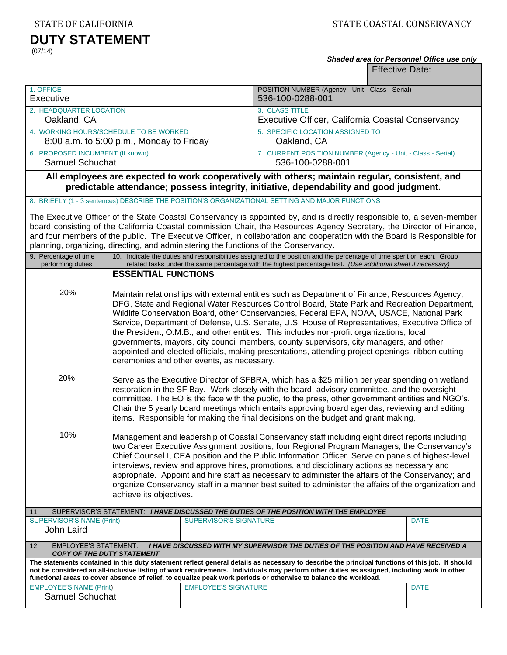STATE OF CALIFORNIA STATE COASTAL CONSERVANCY

# **DUTY STATEMENT**

(07/14)

# *Shaded area for Personnel Office use only*

Effective Date:

| 1. OFFICE<br>Executive                                                                                                                                                                                                                                                                                                                                                                                                                                               |                                                                                                                                                                                                                                                                                                                                                                                                                                                                                                                                                                                                                                                                                                                                                                                                                                                                                                                                                                                                                                                                                                                                                     |                                                                     | POSITION NUMBER (Agency - Unit - Class - Serial)<br>536-100-0288-001                                                                                                                                                                    |             |
|----------------------------------------------------------------------------------------------------------------------------------------------------------------------------------------------------------------------------------------------------------------------------------------------------------------------------------------------------------------------------------------------------------------------------------------------------------------------|-----------------------------------------------------------------------------------------------------------------------------------------------------------------------------------------------------------------------------------------------------------------------------------------------------------------------------------------------------------------------------------------------------------------------------------------------------------------------------------------------------------------------------------------------------------------------------------------------------------------------------------------------------------------------------------------------------------------------------------------------------------------------------------------------------------------------------------------------------------------------------------------------------------------------------------------------------------------------------------------------------------------------------------------------------------------------------------------------------------------------------------------------------|---------------------------------------------------------------------|-----------------------------------------------------------------------------------------------------------------------------------------------------------------------------------------------------------------------------------------|-------------|
| 2. HEADQUARTER LOCATION<br>Oakland, CA                                                                                                                                                                                                                                                                                                                                                                                                                               |                                                                                                                                                                                                                                                                                                                                                                                                                                                                                                                                                                                                                                                                                                                                                                                                                                                                                                                                                                                                                                                                                                                                                     | 3. CLASS TITLE<br>Executive Officer, California Coastal Conservancy |                                                                                                                                                                                                                                         |             |
| 4. WORKING HOURS/SCHEDULE TO BE WORKED<br>8:00 a.m. to 5:00 p.m., Monday to Friday                                                                                                                                                                                                                                                                                                                                                                                   |                                                                                                                                                                                                                                                                                                                                                                                                                                                                                                                                                                                                                                                                                                                                                                                                                                                                                                                                                                                                                                                                                                                                                     | 5. SPECIFIC LOCATION ASSIGNED TO<br>Oakland, CA                     |                                                                                                                                                                                                                                         |             |
| 6. PROPOSED INCUMBENT (If known)<br>Samuel Schuchat                                                                                                                                                                                                                                                                                                                                                                                                                  |                                                                                                                                                                                                                                                                                                                                                                                                                                                                                                                                                                                                                                                                                                                                                                                                                                                                                                                                                                                                                                                                                                                                                     |                                                                     | 7. CURRENT POSITION NUMBER (Agency - Unit - Class - Serial)<br>536-100-0288-001                                                                                                                                                         |             |
| All employees are expected to work cooperatively with others; maintain regular, consistent, and<br>predictable attendance; possess integrity, initiative, dependability and good judgment.                                                                                                                                                                                                                                                                           |                                                                                                                                                                                                                                                                                                                                                                                                                                                                                                                                                                                                                                                                                                                                                                                                                                                                                                                                                                                                                                                                                                                                                     |                                                                     |                                                                                                                                                                                                                                         |             |
|                                                                                                                                                                                                                                                                                                                                                                                                                                                                      |                                                                                                                                                                                                                                                                                                                                                                                                                                                                                                                                                                                                                                                                                                                                                                                                                                                                                                                                                                                                                                                                                                                                                     |                                                                     | 8. BRIEFLY (1 - 3 sentences) DESCRIBE THE POSITION'S ORGANIZATIONAL SETTING AND MAJOR FUNCTIONS                                                                                                                                         |             |
| The Executive Officer of the State Coastal Conservancy is appointed by, and is directly responsible to, a seven-member<br>board consisting of the California Coastal commission Chair, the Resources Agency Secretary, the Director of Finance,<br>and four members of the public. The Executive Officer, in collaboration and cooperation with the Board is Responsible for<br>planning, organizing, directing, and administering the functions of the Conservancy. |                                                                                                                                                                                                                                                                                                                                                                                                                                                                                                                                                                                                                                                                                                                                                                                                                                                                                                                                                                                                                                                                                                                                                     |                                                                     |                                                                                                                                                                                                                                         |             |
| 9. Percentage of time<br>performing duties                                                                                                                                                                                                                                                                                                                                                                                                                           |                                                                                                                                                                                                                                                                                                                                                                                                                                                                                                                                                                                                                                                                                                                                                                                                                                                                                                                                                                                                                                                                                                                                                     |                                                                     | 10. Indicate the duties and responsibilities assigned to the position and the percentage of time spent on each. Group<br>related tasks under the same percentage with the highest percentage first. (Use additional sheet if necessary) |             |
|                                                                                                                                                                                                                                                                                                                                                                                                                                                                      | <b>ESSENTIAL FUNCTIONS</b>                                                                                                                                                                                                                                                                                                                                                                                                                                                                                                                                                                                                                                                                                                                                                                                                                                                                                                                                                                                                                                                                                                                          |                                                                     |                                                                                                                                                                                                                                         |             |
| 20%<br>20%                                                                                                                                                                                                                                                                                                                                                                                                                                                           | Maintain relationships with external entities such as Department of Finance, Resources Agency,<br>DFG, State and Regional Water Resources Control Board, State Park and Recreation Department,<br>Wildlife Conservation Board, other Conservancies, Federal EPA, NOAA, USACE, National Park<br>Service, Department of Defense, U.S. Senate, U.S. House of Representatives, Executive Office of<br>the President, O.M.B., and other entities. This includes non-profit organizations, local<br>governments, mayors, city council members, county supervisors, city managers, and other<br>appointed and elected officials, making presentations, attending project openings, ribbon cutting<br>ceremonies and other events, as necessary.<br>Serve as the Executive Director of SFBRA, which has a \$25 million per year spending on wetland<br>restoration in the SF Bay. Work closely with the board, advisory committee, and the oversight<br>committee. The EO is the face with the public, to the press, other government entities and NGO's.<br>Chair the 5 yearly board meetings which entails approving board agendas, reviewing and editing |                                                                     |                                                                                                                                                                                                                                         |             |
|                                                                                                                                                                                                                                                                                                                                                                                                                                                                      |                                                                                                                                                                                                                                                                                                                                                                                                                                                                                                                                                                                                                                                                                                                                                                                                                                                                                                                                                                                                                                                                                                                                                     |                                                                     | items. Responsible for making the final decisions on the budget and grant making,                                                                                                                                                       |             |
| 10%                                                                                                                                                                                                                                                                                                                                                                                                                                                                  | Management and leadership of Coastal Conservancy staff including eight direct reports including<br>two Career Executive Assignment positions, four Regional Program Managers, the Conservancy's<br>Chief Counsel I, CEA position and the Public Information Officer. Serve on panels of highest-level<br>interviews, review and approve hires, promotions, and disciplinary actions as necessary and<br>appropriate. Appoint and hire staff as necessary to administer the affairs of the Conservancy; and<br>organize Conservancy staff in a manner best suited to administer the affairs of the organization and<br>achieve its objectives.                                                                                                                                                                                                                                                                                                                                                                                                                                                                                                       |                                                                     |                                                                                                                                                                                                                                         |             |
| 11.                                                                                                                                                                                                                                                                                                                                                                                                                                                                  |                                                                                                                                                                                                                                                                                                                                                                                                                                                                                                                                                                                                                                                                                                                                                                                                                                                                                                                                                                                                                                                                                                                                                     |                                                                     | SUPERVISOR'S STATEMENT: I HAVE DISCUSSED THE DUTIES OF THE POSITION WITH THE EMPLOYEE                                                                                                                                                   |             |
| <b>SUPERVISOR'S NAME (Print)</b><br>John Laird                                                                                                                                                                                                                                                                                                                                                                                                                       |                                                                                                                                                                                                                                                                                                                                                                                                                                                                                                                                                                                                                                                                                                                                                                                                                                                                                                                                                                                                                                                                                                                                                     | <b>SUPERVISOR'S SIGNATURE</b>                                       |                                                                                                                                                                                                                                         | <b>DATE</b> |
| <b>EMPLOYEE'S STATEMENT:</b><br>I HAVE DISCUSSED WITH MY SUPERVISOR THE DUTIES OF THE POSITION AND HAVE RECEIVED A<br>12.<br><b>COPY OF THE DUTY STATEMENT</b>                                                                                                                                                                                                                                                                                                       |                                                                                                                                                                                                                                                                                                                                                                                                                                                                                                                                                                                                                                                                                                                                                                                                                                                                                                                                                                                                                                                                                                                                                     |                                                                     |                                                                                                                                                                                                                                         |             |
| The statements contained in this duty statement reflect general details as necessary to describe the principal functions of this job. It should<br>not be considered an all-inclusive listing of work requirements. Individuals may perform other duties as assigned, including work in other<br>functional areas to cover absence of relief, to equalize peak work periods or otherwise to balance the workload.                                                    |                                                                                                                                                                                                                                                                                                                                                                                                                                                                                                                                                                                                                                                                                                                                                                                                                                                                                                                                                                                                                                                                                                                                                     |                                                                     |                                                                                                                                                                                                                                         |             |
| <b>EMPLOYEE'S NAME (Print)</b><br>Samuel Schuchat                                                                                                                                                                                                                                                                                                                                                                                                                    |                                                                                                                                                                                                                                                                                                                                                                                                                                                                                                                                                                                                                                                                                                                                                                                                                                                                                                                                                                                                                                                                                                                                                     | <b>EMPLOYEE'S SIGNATURE</b>                                         |                                                                                                                                                                                                                                         | <b>DATE</b> |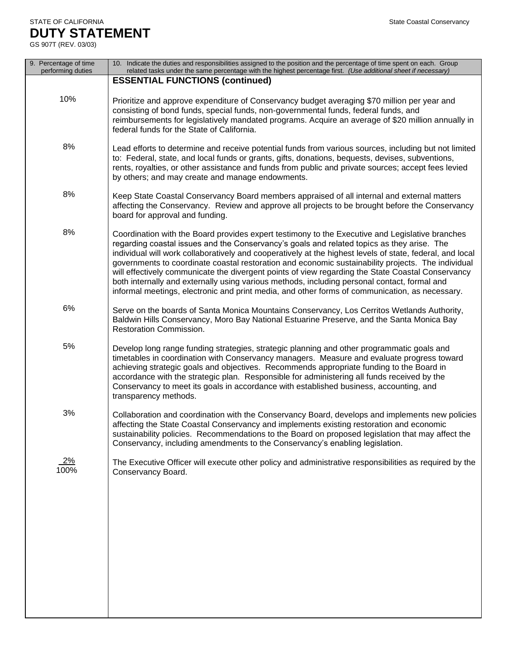## STATE OF CALIFORNIA State Coastal Conservancy **DUTY STATEMENT**

| 9. Percentage of time<br>performing duties | 10. Indicate the duties and responsibilities assigned to the position and the percentage of time spent on each. Group<br>related tasks under the same percentage with the highest percentage first. (Use additional sheet if necessary)                                                                                                                                                                                                                                                                                                                                                                                                                                                                                 |
|--------------------------------------------|-------------------------------------------------------------------------------------------------------------------------------------------------------------------------------------------------------------------------------------------------------------------------------------------------------------------------------------------------------------------------------------------------------------------------------------------------------------------------------------------------------------------------------------------------------------------------------------------------------------------------------------------------------------------------------------------------------------------------|
|                                            | <b>ESSENTIAL FUNCTIONS (continued)</b>                                                                                                                                                                                                                                                                                                                                                                                                                                                                                                                                                                                                                                                                                  |
| 10%                                        | Prioritize and approve expenditure of Conservancy budget averaging \$70 million per year and<br>consisting of bond funds, special funds, non-governmental funds, federal funds, and<br>reimbursements for legislatively mandated programs. Acquire an average of \$20 million annually in<br>federal funds for the State of California.                                                                                                                                                                                                                                                                                                                                                                                 |
| 8%                                         | Lead efforts to determine and receive potential funds from various sources, including but not limited<br>to: Federal, state, and local funds or grants, gifts, donations, bequests, devises, subventions,<br>rents, royalties, or other assistance and funds from public and private sources; accept fees levied<br>by others; and may create and manage endowments.                                                                                                                                                                                                                                                                                                                                                    |
| 8%                                         | Keep State Coastal Conservancy Board members appraised of all internal and external matters<br>affecting the Conservancy. Review and approve all projects to be brought before the Conservancy<br>board for approval and funding.                                                                                                                                                                                                                                                                                                                                                                                                                                                                                       |
| 8%                                         | Coordination with the Board provides expert testimony to the Executive and Legislative branches<br>regarding coastal issues and the Conservancy's goals and related topics as they arise. The<br>individual will work collaboratively and cooperatively at the highest levels of state, federal, and local<br>governments to coordinate coastal restoration and economic sustainability projects. The individual<br>will effectively communicate the divergent points of view regarding the State Coastal Conservancy<br>both internally and externally using various methods, including personal contact, formal and<br>informal meetings, electronic and print media, and other forms of communication, as necessary. |
| 6%                                         | Serve on the boards of Santa Monica Mountains Conservancy, Los Cerritos Wetlands Authority,<br>Baldwin Hills Conservancy, Moro Bay National Estuarine Preserve, and the Santa Monica Bay<br>Restoration Commission.                                                                                                                                                                                                                                                                                                                                                                                                                                                                                                     |
| 5%                                         | Develop long range funding strategies, strategic planning and other programmatic goals and<br>timetables in coordination with Conservancy managers. Measure and evaluate progress toward<br>achieving strategic goals and objectives. Recommends appropriate funding to the Board in<br>accordance with the strategic plan. Responsible for administering all funds received by the<br>Conservancy to meet its goals in accordance with established business, accounting, and<br>transparency methods.                                                                                                                                                                                                                  |
| 3%                                         | Collaboration and coordination with the Conservancy Board, develops and implements new policies<br>affecting the State Coastal Conservancy and implements existing restoration and economic<br>sustainability policies. Recommendations to the Board on proposed legislation that may affect the<br>Conservancy, including amendments to the Conservancy's enabling legislation.                                                                                                                                                                                                                                                                                                                                        |
| <u>2%</u><br>100%                          | The Executive Officer will execute other policy and administrative responsibilities as required by the<br>Conservancy Board.                                                                                                                                                                                                                                                                                                                                                                                                                                                                                                                                                                                            |
|                                            |                                                                                                                                                                                                                                                                                                                                                                                                                                                                                                                                                                                                                                                                                                                         |
|                                            |                                                                                                                                                                                                                                                                                                                                                                                                                                                                                                                                                                                                                                                                                                                         |
|                                            |                                                                                                                                                                                                                                                                                                                                                                                                                                                                                                                                                                                                                                                                                                                         |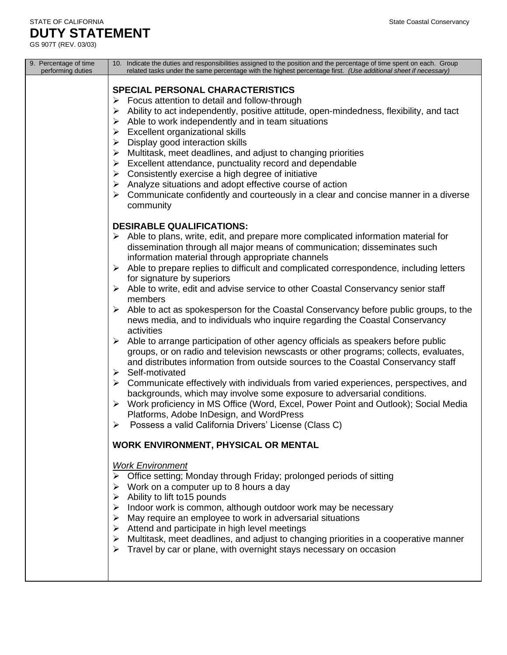| 9. Percentage of time<br>performing duties | 10. Indicate the duties and responsibilities assigned to the position and the percentage of time spent on each. Group<br>related tasks under the same percentage with the highest percentage first. (Use additional sheet if necessary)                                                                                                                                                                                                                                                                                                                                                                                                                                                                                                                                                                                                                                                                                                                                                                                                                                                                                                                                                                                                                                                                                                                                                                                                                                                                                                                                                                                                                                                                                                                                                                                                                                                                                                                                                                                                                    |
|--------------------------------------------|------------------------------------------------------------------------------------------------------------------------------------------------------------------------------------------------------------------------------------------------------------------------------------------------------------------------------------------------------------------------------------------------------------------------------------------------------------------------------------------------------------------------------------------------------------------------------------------------------------------------------------------------------------------------------------------------------------------------------------------------------------------------------------------------------------------------------------------------------------------------------------------------------------------------------------------------------------------------------------------------------------------------------------------------------------------------------------------------------------------------------------------------------------------------------------------------------------------------------------------------------------------------------------------------------------------------------------------------------------------------------------------------------------------------------------------------------------------------------------------------------------------------------------------------------------------------------------------------------------------------------------------------------------------------------------------------------------------------------------------------------------------------------------------------------------------------------------------------------------------------------------------------------------------------------------------------------------------------------------------------------------------------------------------------------------|
|                                            | <b>SPECIAL PERSONAL CHARACTERISTICS</b><br>$\triangleright$ Focus attention to detail and follow-through<br>Ability to act independently, positive attitude, open-mindedness, flexibility, and tact<br>➤<br>Able to work independently and in team situations<br>➤<br>$\triangleright$ Excellent organizational skills<br>Display good interaction skills<br>➤<br>$\triangleright$ Multitask, meet deadlines, and adjust to changing priorities<br>$\triangleright$ Excellent attendance, punctuality record and dependable<br>$\triangleright$ Consistently exercise a high degree of initiative<br>Analyze situations and adopt effective course of action<br>➤<br>Communicate confidently and courteously in a clear and concise manner in a diverse<br>➤<br>community                                                                                                                                                                                                                                                                                                                                                                                                                                                                                                                                                                                                                                                                                                                                                                                                                                                                                                                                                                                                                                                                                                                                                                                                                                                                                  |
|                                            | <b>DESIRABLE QUALIFICATIONS:</b><br>$\triangleright$ Able to plans, write, edit, and prepare more complicated information material for<br>dissemination through all major means of communication; disseminates such<br>information material through appropriate channels<br>$\triangleright$ Able to prepare replies to difficult and complicated correspondence, including letters<br>for signature by superiors<br>Able to write, edit and advise service to other Coastal Conservancy senior staff<br>➤<br>members<br>Able to act as spokesperson for the Coastal Conservancy before public groups, to the<br>➤<br>news media, and to individuals who inquire regarding the Coastal Conservancy<br>activities<br>$\triangleright$ Able to arrange participation of other agency officials as speakers before public<br>groups, or on radio and television newscasts or other programs; collects, evaluates,<br>and distributes information from outside sources to the Coastal Conservancy staff<br>Self-motivated<br>➤<br>Communicate effectively with individuals from varied experiences, perspectives, and<br>➤<br>backgrounds, which may involve some exposure to adversarial conditions.<br>▶ Work proficiency in MS Office (Word, Excel, Power Point and Outlook); Social Media<br>Platforms, Adobe InDesign, and WordPress<br>Possess a valid California Drivers' License (Class C)<br>➤<br><b>WORK ENVIRONMENT, PHYSICAL OR MENTAL</b><br><b>Work Environment</b><br>Office setting; Monday through Friday; prolonged periods of sitting<br>Work on a computer up to 8 hours a day<br>➤<br>Ability to lift to15 pounds<br>⋗<br>$\triangleright$ Indoor work is common, although outdoor work may be necessary<br>$\triangleright$ May require an employee to work in adversarial situations<br>$\triangleright$ Attend and participate in high level meetings<br>> Multitask, meet deadlines, and adjust to changing priorities in a cooperative manner<br>$\triangleright$ Travel by car or plane, with overnight stays necessary on occasion |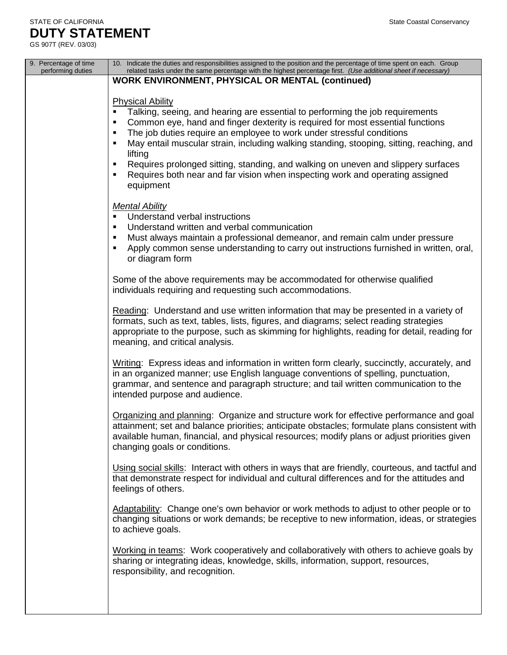| 9. Percentage of time<br>performing duties | 10. Indicate the duties and responsibilities assigned to the position and the percentage of time spent on each. Group<br>related tasks under the same percentage with the highest percentage first. (Use additional sheet if necessary)                                                                                                                                                                                                                                                                                                                          |
|--------------------------------------------|------------------------------------------------------------------------------------------------------------------------------------------------------------------------------------------------------------------------------------------------------------------------------------------------------------------------------------------------------------------------------------------------------------------------------------------------------------------------------------------------------------------------------------------------------------------|
|                                            | <b>WORK ENVIRONMENT, PHYSICAL OR MENTAL (continued)</b>                                                                                                                                                                                                                                                                                                                                                                                                                                                                                                          |
|                                            | <b>Physical Ability</b>                                                                                                                                                                                                                                                                                                                                                                                                                                                                                                                                          |
|                                            | Talking, seeing, and hearing are essential to performing the job requirements<br>$\blacksquare$<br>Common eye, hand and finger dexterity is required for most essential functions<br>٠<br>The job duties require an employee to work under stressful conditions<br>٠<br>May entail muscular strain, including walking standing, stooping, sitting, reaching, and<br>٠<br>lifting<br>Requires prolonged sitting, standing, and walking on uneven and slippery surfaces<br>٠<br>Requires both near and far vision when inspecting work and operating assigned<br>٠ |
|                                            | equipment                                                                                                                                                                                                                                                                                                                                                                                                                                                                                                                                                        |
|                                            | <b>Mental Ability</b><br>Understand verbal instructions<br>٠<br>Understand written and verbal communication<br>٠<br>Must always maintain a professional demeanor, and remain calm under pressure<br>$\blacksquare$<br>Apply common sense understanding to carry out instructions furnished in written, oral,<br>$\blacksquare$<br>or diagram form                                                                                                                                                                                                                |
|                                            | Some of the above requirements may be accommodated for otherwise qualified<br>individuals requiring and requesting such accommodations.                                                                                                                                                                                                                                                                                                                                                                                                                          |
|                                            | Reading: Understand and use written information that may be presented in a variety of<br>formats, such as text, tables, lists, figures, and diagrams; select reading strategies<br>appropriate to the purpose, such as skimming for highlights, reading for detail, reading for<br>meaning, and critical analysis.                                                                                                                                                                                                                                               |
|                                            | Writing: Express ideas and information in written form clearly, succinctly, accurately, and<br>in an organized manner; use English language conventions of spelling, punctuation,<br>grammar, and sentence and paragraph structure; and tail written communication to the<br>intended purpose and audience.                                                                                                                                                                                                                                                      |
|                                            | Organizing and planning: Organize and structure work for effective performance and goal<br>attainment; set and balance priorities; anticipate obstacles; formulate plans consistent with<br>available human, financial, and physical resources; modify plans or adjust priorities given<br>changing goals or conditions.                                                                                                                                                                                                                                         |
|                                            | Using social skills: Interact with others in ways that are friendly, courteous, and tactful and<br>that demonstrate respect for individual and cultural differences and for the attitudes and<br>feelings of others.                                                                                                                                                                                                                                                                                                                                             |
|                                            | Adaptability: Change one's own behavior or work methods to adjust to other people or to<br>changing situations or work demands; be receptive to new information, ideas, or strategies<br>to achieve goals.                                                                                                                                                                                                                                                                                                                                                       |
|                                            | Working in teams: Work cooperatively and collaboratively with others to achieve goals by<br>sharing or integrating ideas, knowledge, skills, information, support, resources,<br>responsibility, and recognition.                                                                                                                                                                                                                                                                                                                                                |
|                                            |                                                                                                                                                                                                                                                                                                                                                                                                                                                                                                                                                                  |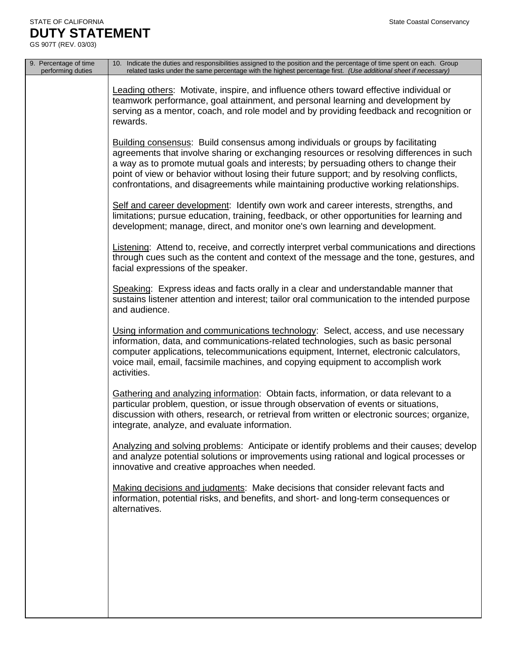| 9. Percentage of time<br>performing duties | 10. Indicate the duties and responsibilities assigned to the position and the percentage of time spent on each. Group<br>related tasks under the same percentage with the highest percentage first. (Use additional sheet if necessary)                                                                                                                                                                                                                           |
|--------------------------------------------|-------------------------------------------------------------------------------------------------------------------------------------------------------------------------------------------------------------------------------------------------------------------------------------------------------------------------------------------------------------------------------------------------------------------------------------------------------------------|
|                                            | Leading others: Motivate, inspire, and influence others toward effective individual or<br>teamwork performance, goal attainment, and personal learning and development by<br>serving as a mentor, coach, and role model and by providing feedback and recognition or<br>rewards.                                                                                                                                                                                  |
|                                            | <b>Building consensus:</b> Build consensus among individuals or groups by facilitating<br>agreements that involve sharing or exchanging resources or resolving differences in such<br>a way as to promote mutual goals and interests; by persuading others to change their<br>point of view or behavior without losing their future support; and by resolving conflicts,<br>confrontations, and disagreements while maintaining productive working relationships. |
|                                            | Self and career development: Identify own work and career interests, strengths, and<br>limitations; pursue education, training, feedback, or other opportunities for learning and<br>development; manage, direct, and monitor one's own learning and development.                                                                                                                                                                                                 |
|                                            | Listening: Attend to, receive, and correctly interpret verbal communications and directions<br>through cues such as the content and context of the message and the tone, gestures, and<br>facial expressions of the speaker.                                                                                                                                                                                                                                      |
|                                            | Speaking: Express ideas and facts orally in a clear and understandable manner that<br>sustains listener attention and interest; tailor oral communication to the intended purpose<br>and audience.                                                                                                                                                                                                                                                                |
|                                            | Using information and communications technology: Select, access, and use necessary<br>information, data, and communications-related technologies, such as basic personal<br>computer applications, telecommunications equipment, Internet, electronic calculators,<br>voice mail, email, facsimile machines, and copying equipment to accomplish work<br>activities.                                                                                              |
|                                            | Gathering and analyzing information: Obtain facts, information, or data relevant to a<br>particular problem, question, or issue through observation of events or situations,<br>discussion with others, research, or retrieval from written or electronic sources; organize,<br>integrate, analyze, and evaluate information.                                                                                                                                     |
|                                            | Analyzing and solving problems: Anticipate or identify problems and their causes; develop<br>and analyze potential solutions or improvements using rational and logical processes or<br>innovative and creative approaches when needed.                                                                                                                                                                                                                           |
|                                            | Making decisions and judgments: Make decisions that consider relevant facts and<br>information, potential risks, and benefits, and short- and long-term consequences or<br>alternatives.                                                                                                                                                                                                                                                                          |
|                                            |                                                                                                                                                                                                                                                                                                                                                                                                                                                                   |
|                                            |                                                                                                                                                                                                                                                                                                                                                                                                                                                                   |
|                                            |                                                                                                                                                                                                                                                                                                                                                                                                                                                                   |